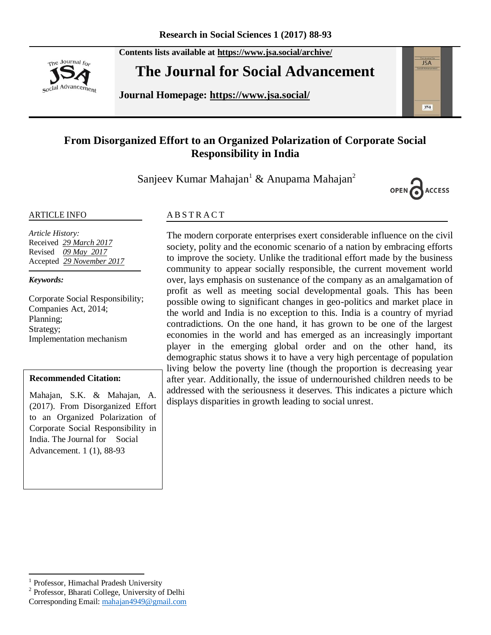The Journal for social Advancement **Contents lists available at <https://www.jsa.social/archive/>**

# **The Journal for Social Advancement**

**Journal Homepage: <https://www.jsa.social/>**



Sanjeev Kumar Mahajan<sup>1</sup> & Anupama Mahajan<sup>2</sup>



**JSA** 

 $354$ 

#### ARTICLE INFO

*Article History:*  Received *29 March 2017* Revised *09 May 2017* Accepted *29 November 2017*

#### *Keywords:*

Corporate Social Responsibility; Companies Act, 2014; Planning; Strategy; Implementation mechanism

#### **Recommended Citation:**

Mahajan, S.K. & Mahajan, A. (2017). From Disorganized Effort to an Organized Polarization of Corporate Social Responsibility in India. The Journal for Social Advancement. 1 (1), 88-93

#### **ABSTRACT**

The modern corporate enterprises exert considerable influence on the civil society, polity and the economic scenario of a nation by embracing efforts to improve the society. Unlike the traditional effort made by the business community to appear socially responsible, the current movement world over, lays emphasis on sustenance of the company as an amalgamation of profit as well as meeting social developmental goals. This has been possible owing to significant changes in geo-politics and market place in the world and India is no exception to this. India is a country of myriad contradictions. On the one hand, it has grown to be one of the largest economies in the world and has emerged as an increasingly important player in the emerging global order and on the other hand, its demographic status shows it to have a very high percentage of population living below the poverty line (though the proportion is decreasing year after year. Additionally, the issue of undernourished children needs to be addressed with the seriousness it deserves. This indicates a picture which displays disparities in growth leading to social unrest.

 $\overline{a}$ 

2 Professor, Bharati College, University of Delhi

<sup>1</sup> Professor, Himachal Pradesh University

Corresponding Email: [mahajan4949@gmail.com](mailto:mahajan4949@gmail.com)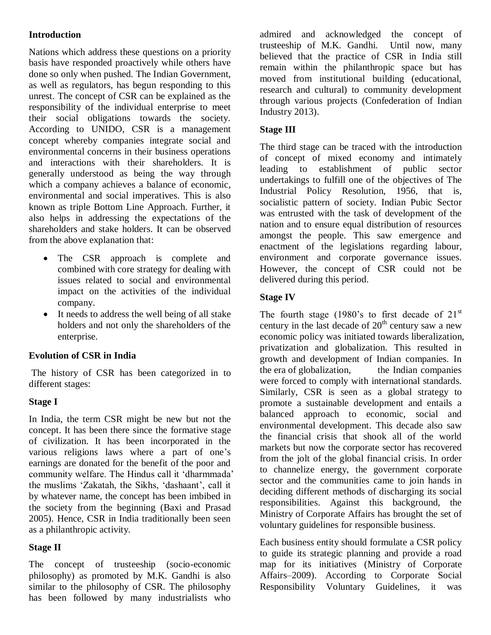# **Introduction**

Nations which address these questions on a priority basis have responded proactively while others have done so only when pushed. The Indian Government, as well as regulators, has begun responding to this unrest. The concept of CSR can be explained as the responsibility of the individual enterprise to meet their social obligations towards the society. According to UNIDO, CSR is a management concept whereby companies integrate social and environmental concerns in their business operations and interactions with their shareholders. It is generally understood as being the way through which a company achieves a balance of economic, environmental and social imperatives. This is also known as triple Bottom Line Approach. Further, it also helps in addressing the expectations of the shareholders and stake holders. It can be observed from the above explanation that:

- The CSR approach is complete and combined with core strategy for dealing with issues related to social and environmental impact on the activities of the individual company.
- It needs to address the well being of all stake holders and not only the shareholders of the enterprise.

### **Evolution of CSR in India**

The history of CSR has been categorized in to different stages:

### **Stage I**

In India, the term CSR might be new but not the concept. It has been there since the formative stage of civilization. It has been incorporated in the various religions laws where a part of one's earnings are donated for the benefit of the poor and community welfare. The Hindus call it 'dharmmada' the muslims 'Zakatah, the Sikhs, 'dashaant', call it by whatever name, the concept has been imbibed in the society from the beginning (Baxi and Prasad 2005). Hence, CSR in India traditionally been seen as a philanthropic activity.

### **Stage II**

The concept of trusteeship (socio-economic philosophy) as promoted by M.K. Gandhi is also similar to the philosophy of CSR. The philosophy has been followed by many industrialists who

admired and acknowledged the concept of trusteeship of M.K. Gandhi. Until now, many believed that the practice of CSR in India still remain within the philanthropic space but has moved from institutional building (educational, research and cultural) to community development through various projects (Confederation of Indian Industry 2013).

# **Stage III**

The third stage can be traced with the introduction of concept of mixed economy and intimately leading to establishment of public sector undertakings to fulfill one of the objectives of The Industrial Policy Resolution, 1956, that is, socialistic pattern of society. Indian Pubic Sector was entrusted with the task of development of the nation and to ensure equal distribution of resources amongst the people. This saw emergence and enactment of the legislations regarding labour, environment and corporate governance issues. However, the concept of CSR could not be delivered during this period.

### **Stage IV**

The fourth stage (1980's to first decade of  $21<sup>st</sup>$ century in the last decade of  $20<sup>th</sup>$  century saw a new economic policy was initiated towards liberalization, privatization and globalization. This resulted in growth and development of Indian companies. In the era of globalization, the Indian companies were forced to comply with international standards. Similarly, CSR is seen as a global strategy to promote a sustainable development and entails a balanced approach to economic, social and environmental development. This decade also saw the financial crisis that shook all of the world markets but now the corporate sector has recovered from the jolt of the global financial crisis. In order to channelize energy, the government corporate sector and the communities came to join hands in deciding different methods of discharging its social responsibilities. Against this background, the Ministry of Corporate Affairs has brought the set of voluntary guidelines for responsible business.

Each business entity should formulate a CSR policy to guide its strategic planning and provide a road map for its initiatives (Ministry of Corporate Affairs–2009). According to Corporate Social Responsibility Voluntary Guidelines, it was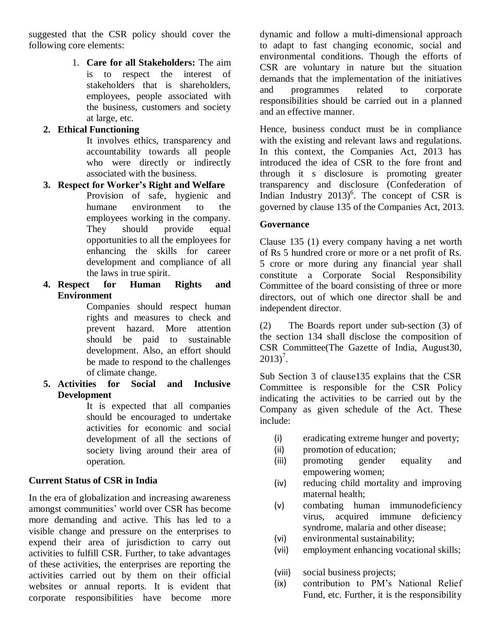suggested that the CSR policy should cover the following core elements:

> 1. **Care for all Stakeholders:** The aim is to respect the interest of stakeholders that is shareholders, employees, people associated with the business, customers and society at large, etc.

## **2. Ethical Functioning**

It involves ethics, transparency and accountability towards all people who were directly or indirectly associated with the business.

### **3. Respect for Worker's Right and Welfare**

Provision of safe, hygienic and humane environment to the employees working in the company. They should provide equal opportunities to all the employees for enhancing the skills for career development and compliance of all the laws in true spirit.

**4. Respect for Human Rights and Environment**

Companies should respect human rights and measures to check and prevent hazard. More attention should be paid to sustainable development. Also, an effort should be made to respond to the challenges of climate change.

**5. Activities for Social and Inclusive Development**

It is expected that all companies should be encouraged to undertake activities for economic and social development of all the sections of society living around their area of operation.

# **Current Status of CSR in India**

In the era of globalization and increasing awareness amongst communities' world over CSR has become more demanding and active. This has led to a visible change and pressure on the enterprises to expend their area of jurisdiction to carry out activities to fulfill CSR. Further, to take advantages of these activities, the enterprises are reporting the activities carried out by them on their official websites or annual reports. It is evident that corporate responsibilities have become more dynamic and follow a multi-dimensional approach to adapt to fast changing economic, social and environmental conditions. Though the efforts of CSR are voluntary in nature but the situation demands that the implementation of the initiatives and programmes related to corporate responsibilities should be carried out in a planned and an effective manner.

Hence, business conduct must be in compliance with the existing and relevant laws and regulations. In this context, the Companies Act, 2013 has introduced the idea of CSR to the fore front and through it s disclosure is promoting greater transparency and disclosure (Confederation of Indian Industry  $2013$ <sup>6</sup>. The concept of CSR is governed by clause 135 of the Companies Act, 2013.

### **Governance**

Clause 135 (1) every company having a net worth of Rs 5 hundred crore or more or a net profit of Rs. 5 crore or more during any financial year shall constitute a Corporate Social Responsibility Committee of the board consisting of three or more directors, out of which one director shall be and independent director.

(2) The Boards report under sub-section (3) of the section 134 shall disclose the composition of CSR Committee(The Gazette of India, August30,  $2013)^7$ .

Sub Section 3 of clause135 explains that the CSR Committee is responsible for the CSR Policy indicating the activities to be carried out by the Company as given schedule of the Act. These include:

- (i) eradicating extreme hunger and poverty;
- (ii) promotion of education;
- (iii) promoting gender equality and empowering women;
- (iv) reducing child mortality and improving maternal health;
- (v) combating human immunodeficiency virus, acquired immune deficiency syndrome, malaria and other disease;
- (vi) environmental sustainability;
- (vii) employment enhancing vocational skills;
- (viii) social business projects;
- (ix) contribution to PM's National Relief Fund, etc. Further, it is the responsibility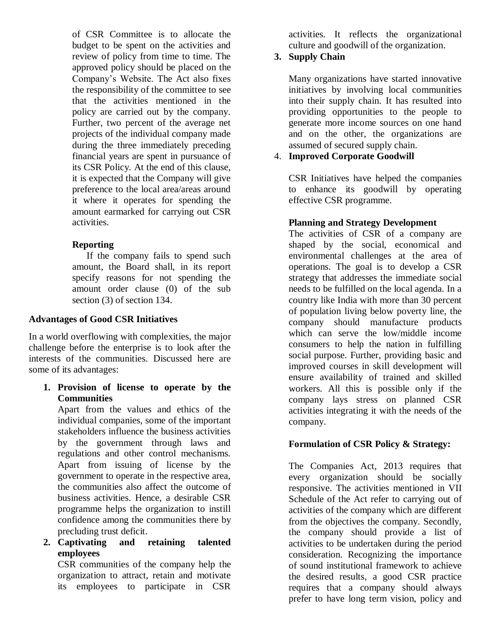of CSR Committee is to allocate the budget to be spent on the activities and review of policy from time to time. The approved policy should be placed on the Company's Website. The Act also fixes the responsibility of the committee to see that the activities mentioned in the policy are carried out by the company. Further, two percent of the average net projects of the individual company made during the three immediately preceding financial years are spent in pursuance of its CSR Policy. At the end of this clause, it is expected that the Company will give preference to the local area/areas around it where it operates for spending the amount earmarked for carrying out CSR activities.

### **Reporting**

If the company fails to spend such amount, the Board shall, in its report specify reasons for not spending the amount order clause (0) of the sub section (3) of section 134.

#### **Advantages of Good CSR Initiatives**

In a world overflowing with complexities, the major challenge before the enterprise is to look after the interests of the communities. Discussed here are some of its advantages:

**1. Provision of license to operate by the Communities**

Apart from the values and ethics of the individual companies, some of the important stakeholders influence the business activities by the government through laws and regulations and other control mechanisms. Apart from issuing of license by the government to operate in the respective area, the communities also affect the outcome of business activities. Hence, a desirable CSR programme helps the organization to instill confidence among the communities there by precluding trust deficit.

**2. Captivating and retaining talented employees**

CSR communities of the company help the organization to attract, retain and motivate its employees to participate in CSR

activities. It reflects the organizational culture and goodwill of the organization.

# **3. Supply Chain**

Many organizations have started innovative initiatives by involving local communities into their supply chain. It has resulted into providing opportunities to the people to generate more income sources on one hand and on the other, the organizations are assumed of secured supply chain.

## 4. **Improved Corporate Goodwill**

CSR Initiatives have helped the companies to enhance its goodwill by operating effective CSR programme.

### **Planning and Strategy Development**

The activities of CSR of a company are shaped by the social, economical and environmental challenges at the area of operations. The goal is to develop a CSR strategy that addresses the immediate social needs to be fulfilled on the local agenda. In a country like India with more than 30 percent of population living below poverty line, the company should manufacture products which can serve the low/middle income consumers to help the nation in fulfilling social purpose. Further, providing basic and improved courses in skill development will ensure availability of trained and skilled workers. All this is possible only if the company lays stress on planned CSR activities integrating it with the needs of the company.

### **Formulation of CSR Policy & Strategy:**

The Companies Act, 2013 requires that every organization should be socially responsive. The activities mentioned in VII Schedule of the Act refer to carrying out of activities of the company which are different from the objectives the company. Secondly, the company should provide a list of activities to be undertaken during the period consideration. Recognizing the importance of sound institutional framework to achieve the desired results, a good CSR practice requires that a company should always prefer to have long term vision, policy and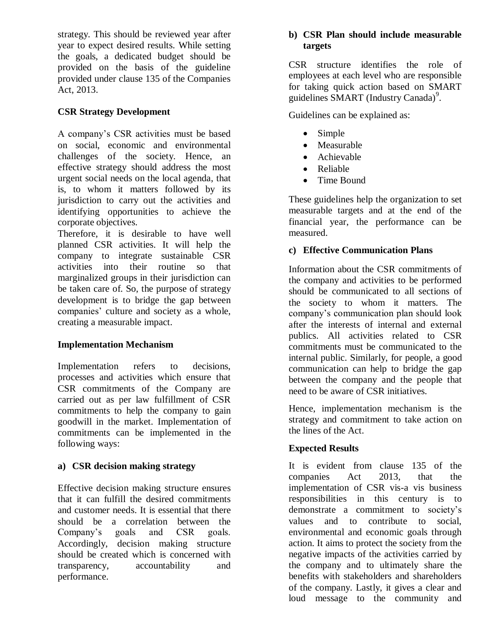strategy. This should be reviewed year after year to expect desired results. While setting the goals, a dedicated budget should be provided on the basis of the guideline provided under clause 135 of the Companies Act, 2013.

# **CSR Strategy Development**

A company's CSR activities must be based on social, economic and environmental challenges of the society. Hence, an effective strategy should address the most urgent social needs on the local agenda, that is, to whom it matters followed by its jurisdiction to carry out the activities and identifying opportunities to achieve the corporate objectives.

Therefore, it is desirable to have well planned CSR activities. It will help the company to integrate sustainable CSR activities into their routine so that marginalized groups in their jurisdiction can be taken care of. So, the purpose of strategy development is to bridge the gap between companies' culture and society as a whole, creating a measurable impact.

# **Implementation Mechanism**

Implementation refers to decisions, processes and activities which ensure that CSR commitments of the Company are carried out as per law fulfillment of CSR commitments to help the company to gain goodwill in the market. Implementation of commitments can be implemented in the following ways:

### **a) CSR decision making strategy**

Effective decision making structure ensures that it can fulfill the desired commitments and customer needs. It is essential that there should be a correlation between the Company's goals and CSR goals. Accordingly, decision making structure should be created which is concerned with transparency, accountability and performance.

#### **b) CSR Plan should include measurable targets**

CSR structure identifies the role of employees at each level who are responsible for taking quick action based on SMART guidelines SMART (Industry Canada)<sup>9</sup>.

Guidelines can be explained as:

- Simple
- Measurable
- Achievable
- Reliable
- Time Bound

These guidelines help the organization to set measurable targets and at the end of the financial year, the performance can be measured.

# **c) Effective Communication Plans**

Information about the CSR commitments of the company and activities to be performed should be communicated to all sections of the society to whom it matters. The company's communication plan should look after the interests of internal and external publics. All activities related to CSR commitments must be communicated to the internal public. Similarly, for people, a good communication can help to bridge the gap between the company and the people that need to be aware of CSR initiatives.

Hence, implementation mechanism is the strategy and commitment to take action on the lines of the Act.

# **Expected Results**

It is evident from clause 135 of the companies Act 2013, that the implementation of CSR vis-a vis business responsibilities in this century is to demonstrate a commitment to society's values and to contribute to social, environmental and economic goals through action. It aims to protect the society from the negative impacts of the activities carried by the company and to ultimately share the benefits with stakeholders and shareholders of the company. Lastly, it gives a clear and loud message to the community and